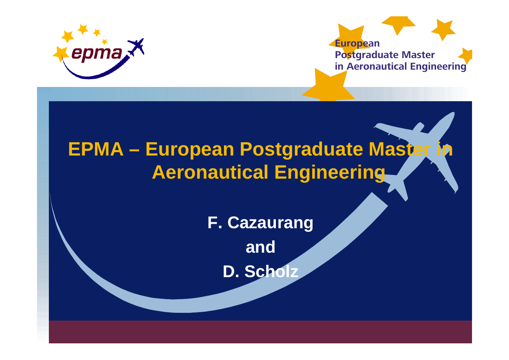



# **EPMA – European Postgraduate Master Aeronautical Engineering**

**F. Cazaurang and**

**D. Scholz**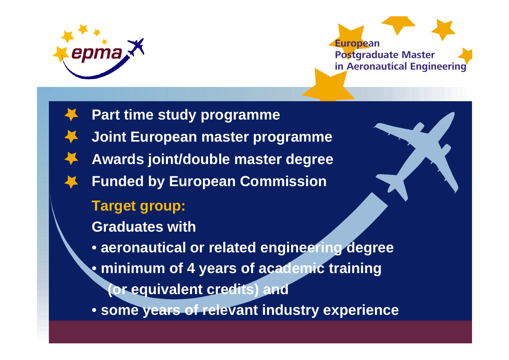



**Part time study programme Joint European master programme Awards joint/double master degree Funded by European Commission Target group: Graduates with**• **aeronautical or related engineering degree**  • **minimum of 4 years of academic training (or equivalent credits) and** • **some years of relevant industry experience**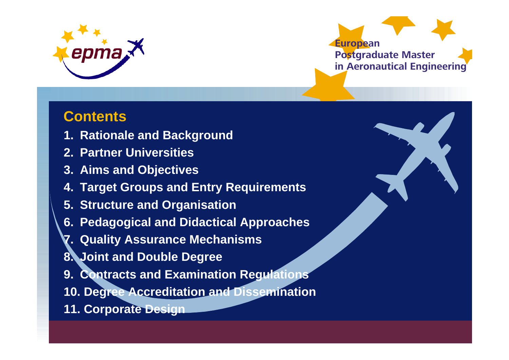



## **Contents**

- **1. Rationale and Background**
- **2. Partner Universities**
- **3. Aims and Objectives**
- **4. Target Groups and Entry Requirements**
- **5. Structure and Organisation**
- **6. Pedagogical and Didactical Approaches**
- **7. Quality Assurance Mechanisms**
- **8. Joint and Double Degree**
- **9. Contracts and Examination Regulations**
- **10. Degree Accreditation and Dissemination**
- **11. Corporate Design**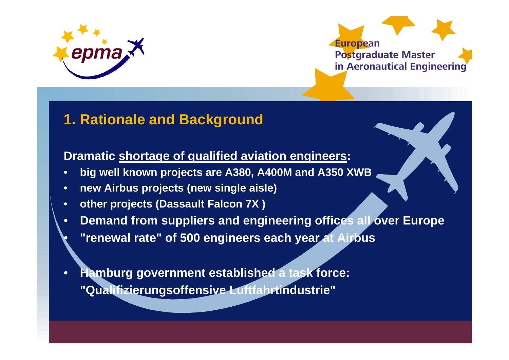

•



## **1. Rationale and Background**

#### **Dramatic shortage of qualified aviation engineers:**

- •**big well known projects are A380, A400M and A350 XWB**
- •**new Airbus projects (new single aisle)**
- •**other projects (Dassault Falcon 7X )**
- •**Demand from suppliers and engineering offices all over Europe**
- **"renewal rate" of 500 engineers each year at Airbus**
- • **Hamburg government established a task force: "Qualifizierungsoffensive Luftfahrtindustrie"**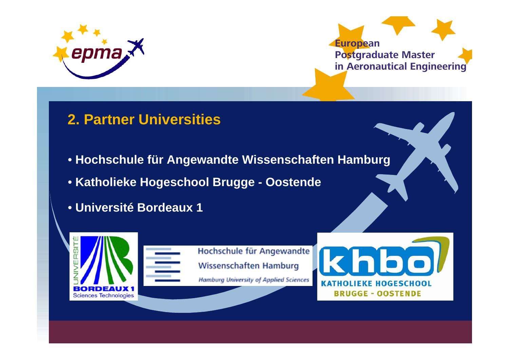



## **2. Partner Universities**

- **Hochschule für Angewandte Wissenschaften Hamburg**
- **Katholieke Hogeschool Brugge - Oostende**
- **Université Bordeaux 1**

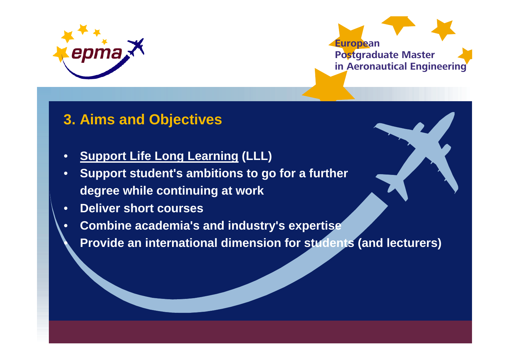

 $\bullet$ 



## **3. Aims and Objectives**

- •**Support Life Long Learning (LLL)**
- • **Support student's ambitions to go for a further degree while continuing at work**
- •**Deliver short courses**
- • **Combine academia's and industry's expertise**
	- **Provide an international dimension for students (and lecturers)**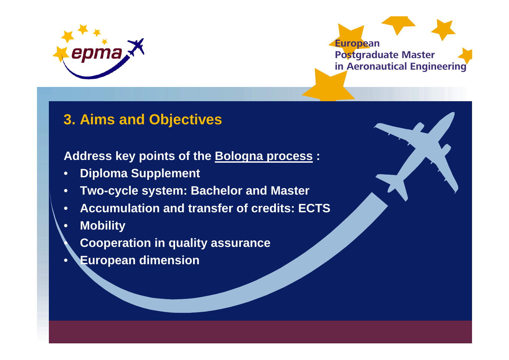



## **3. Aims and Objectives**

### **Address key points of the Bologna process :**

- •**Diploma Supplement**
- •**Two-cycle system: Bachelor and Master**
- •**Accumulation and transfer of credits: ECTS**
- •**Mobility**

 $\bullet$ 

- **Cooperation in quality assurance**
- •**European dimension**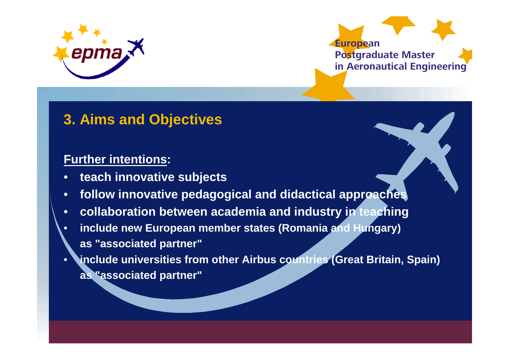



## **3. Aims and Objectives**

#### **Further intentions:**

- •**teach innovative subjects**
- •**follow innovative pedagogical and didactical approaches**
- •**collaboration between academia and industry in teaching**
- • **include new European member states (Romania and Hungary) as "associated partner"**
- • **include universities from other Airbus countries (Great Britain, Spain) as "associated partner"**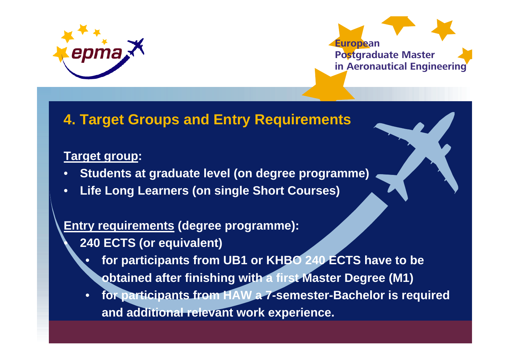



## **4. Target Groups and Entry Requirements**

### **Target group:**

 $\bullet$ 

- •**Students at graduate level (on degree programme)**
- •**Life Long Learners (on single Short Courses)**

### **Entry requirements (degree programme):**

- **240 ECTS (or equivalent)**
	- • **for participants from UB1 or KHBO 240 ECTS have to be obtained after finishing with a first Master Degree (M1)**
	- • **for participants from HAW a 7-semester-Bachelor is required and additional relevant work experience.**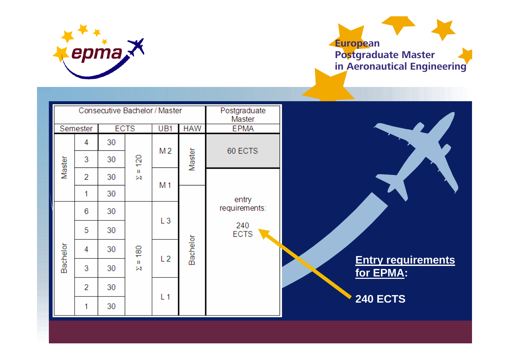



| Consecutive Bachelor / Master |                |    |                   |                |                 | Postgraduate<br>Master |                                        |
|-------------------------------|----------------|----|-------------------|----------------|-----------------|------------------------|----------------------------------------|
|                               | Semester       |    | <b>ECTS</b>       | UB1            | <b>HAW</b>      | <b>EPMA</b>            |                                        |
| Master                        | 4              | 30 |                   | M 2            |                 | 60 ECTS                |                                        |
|                               | 3              | 30 | 120               |                | Master          |                        |                                        |
|                               | $\overline{2}$ | 30 | Ш<br>$\mathbb{N}$ | M <sub>1</sub> |                 |                        |                                        |
|                               | 1              | 30 |                   |                |                 | entry                  |                                        |
| Bachelor                      | 6              | 30 |                   | L3             |                 | requirements:          |                                        |
|                               | 5              | 30 |                   |                |                 | 240<br><b>ECTS</b>     |                                        |
|                               | 4              | 30 | $\frac{60}{2}$    |                | <b>Bachelor</b> |                        |                                        |
|                               | 3              | 30 | Ш<br>Ñ            | L <sub>2</sub> |                 |                        | <b>Entry requirements</b><br>for EPMA: |
|                               | $\overline{2}$ | 30 |                   |                |                 |                        |                                        |
|                               | 1              | 30 |                   | L <sub>1</sub> |                 |                        | <b>240 ECTS</b>                        |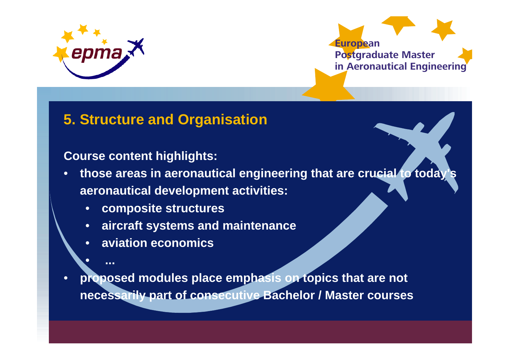

•

**...**

![](_page_10_Picture_1.jpeg)

### **5. Structure and Organisation**

#### **Course content highlights:**

- $\bullet$  **those areas in aeronautical engineering that are crucial to today's aeronautical development activities:**
	- •**composite structures**
	- •**aircraft systems and maintenance**
	- $\bullet$ **aviation economics**
- • **proposed modules place emphasis on topics that are not necessarily part of consecutive Bachelor / Master courses**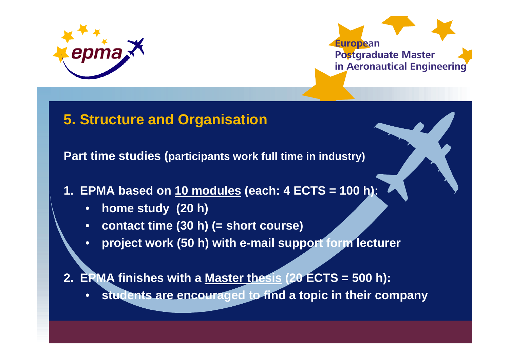![](_page_11_Picture_0.jpeg)

![](_page_11_Picture_1.jpeg)

### **5. Structure and Organisation**

**Part time studies (participants work full time in industry)**

- **1. EPMA based on 10 modules (each: 4 ECTS = 100 h):**
	- •**home study (20 h)**
	- •**contact time (30 h) (= short course)**
	- •**project work (50 h) with e-mail support form lecturer**

**2. EPMA finishes with a Master thesis (20 ECTS = 500 h):**

•**students are encouraged to find a topic in their company**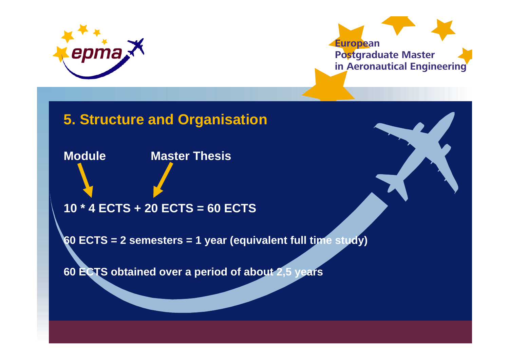![](_page_12_Picture_0.jpeg)

![](_page_12_Picture_1.jpeg)

## **5. Structure and Organisation**

**Module Master Thesis**

**10 \* 4 ECTS + 20 ECTS = 60 ECTS**

**60 ECTS = 2 semesters = 1 year (equivalent full time study)**

**60 ECTS obtained over a period of about 2,5 years**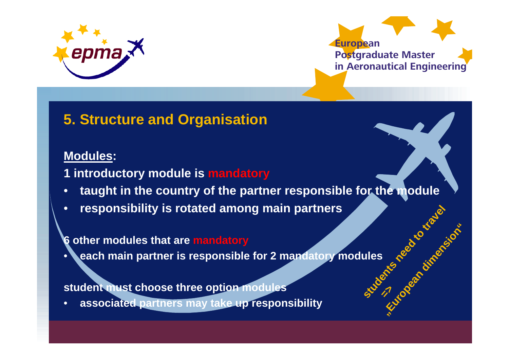![](_page_13_Picture_0.jpeg)

![](_page_13_Picture_1.jpeg)

**"**

**European dimension** 

**"**

## **5. Structure and Organisation**

#### **Modules:**

**1 introductory module is mandatory**

- •**taught in the country of the partner responsible for the module**
- •**responsibility is rotated among main partners**

#### **6 other modules that are mandatory**

• **each main partner is responsible for 2 mandatory modules Students and the contractions** 

#### **student must choose three option modules**

•**associated partners may take up responsibility**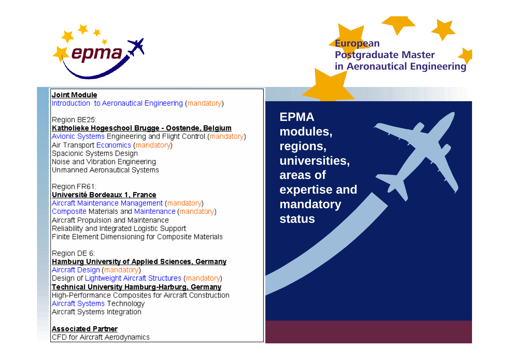![](_page_14_Picture_0.jpeg)

**European Postgraduate Master in Aeronautical Engineering**

#### Joint Module

Introduction to Aeronautical Engineering (mandatory)

#### Reaion BE25:

Katholieke Hogeschool Brugge - Oostende, Belgium Avionic Systems Engineering and Flight Control (mandatory) |Air Transport Economics (mandator∧) Spacionic Systems Design Noise and Vibration Engineering Unmanned Aeronautical Systems

#### Region FR61:

#### Université Bordeaux 1, France

Aircraft Maintenance Management (mandatory) Composite Materials and Maintenance (mandatory) Aircraft Propulsion and Maintenance Reliability and Integrated Logistic Support Finite Element Dimensioning for Composite Materials

#### Region DE 6:

Hamburg University of Applied Sciences, Germany Aircraft Design (mandatory) Design of Lightweight Aircraft Structures (mandatory) Technical University Hamburg-Harburg, Germany

High-Performance Composites for Aircraft Construction Aircraft Systems Technology Aircraft Systems Integration

Associated Partner CFD for Aircraft Aerodynamics

**EPMA modules, regions, universities, areas of expertise and mandatory status**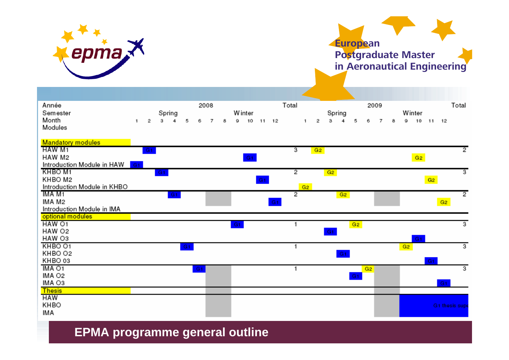![](_page_15_Picture_0.jpeg)

KHBO

IMA

## **European Postgraduate Master in Aeronautical Engineering**

| Total<br>Total<br>2008<br>Année<br>2009<br>Spring<br><b>W</b> inter<br>Spring<br>Winter<br>Semester<br>Month<br>5<br>6<br>7<br>9<br>10<br>з<br>5<br>10<br>2<br>3<br>8<br>11<br>12<br>2<br>4<br>6<br>7<br>o<br>11 12<br>1<br>8<br>4<br>1.<br>Modules<br><b>Mandatory modules</b><br>HAW M1<br>з<br>2<br>G2<br>G <sub>1</sub><br>G2<br>HAW M2<br>G1<br>Introduction Module in HAW<br>G <sub>1</sub><br>KHBO M1<br>2<br>3<br>G <sub>1</sub><br>G2<br>KHBO M2<br>G2<br>G1<br>Introduction Module in KHBO<br>G2<br>TMA M1<br>2<br>2<br>G2<br>G1<br>IMA M2<br>G2<br>$-G1$<br>Introduction Module in IMA<br>optional modules<br>HAW O1<br>3<br>G2<br>G1<br>HAW O2<br>G1<br>HAW O3<br>G <sub>1</sub><br>KHBO 01<br>3<br>G2<br>G1<br>KHBO O2<br>G1<br>KHBO 03<br>G <sub>1</sub><br>IMA O1<br>3<br>G <sub>1</sub><br>G <sub>2</sub> |  |  |  |  |  |  |  |  |  |  |  |  |  |  |
|---------------------------------------------------------------------------------------------------------------------------------------------------------------------------------------------------------------------------------------------------------------------------------------------------------------------------------------------------------------------------------------------------------------------------------------------------------------------------------------------------------------------------------------------------------------------------------------------------------------------------------------------------------------------------------------------------------------------------------------------------------------------------------------------------------------------------|--|--|--|--|--|--|--|--|--|--|--|--|--|--|
|                                                                                                                                                                                                                                                                                                                                                                                                                                                                                                                                                                                                                                                                                                                                                                                                                           |  |  |  |  |  |  |  |  |  |  |  |  |  |  |
|                                                                                                                                                                                                                                                                                                                                                                                                                                                                                                                                                                                                                                                                                                                                                                                                                           |  |  |  |  |  |  |  |  |  |  |  |  |  |  |
|                                                                                                                                                                                                                                                                                                                                                                                                                                                                                                                                                                                                                                                                                                                                                                                                                           |  |  |  |  |  |  |  |  |  |  |  |  |  |  |
|                                                                                                                                                                                                                                                                                                                                                                                                                                                                                                                                                                                                                                                                                                                                                                                                                           |  |  |  |  |  |  |  |  |  |  |  |  |  |  |
|                                                                                                                                                                                                                                                                                                                                                                                                                                                                                                                                                                                                                                                                                                                                                                                                                           |  |  |  |  |  |  |  |  |  |  |  |  |  |  |
|                                                                                                                                                                                                                                                                                                                                                                                                                                                                                                                                                                                                                                                                                                                                                                                                                           |  |  |  |  |  |  |  |  |  |  |  |  |  |  |
|                                                                                                                                                                                                                                                                                                                                                                                                                                                                                                                                                                                                                                                                                                                                                                                                                           |  |  |  |  |  |  |  |  |  |  |  |  |  |  |
|                                                                                                                                                                                                                                                                                                                                                                                                                                                                                                                                                                                                                                                                                                                                                                                                                           |  |  |  |  |  |  |  |  |  |  |  |  |  |  |
|                                                                                                                                                                                                                                                                                                                                                                                                                                                                                                                                                                                                                                                                                                                                                                                                                           |  |  |  |  |  |  |  |  |  |  |  |  |  |  |
|                                                                                                                                                                                                                                                                                                                                                                                                                                                                                                                                                                                                                                                                                                                                                                                                                           |  |  |  |  |  |  |  |  |  |  |  |  |  |  |
|                                                                                                                                                                                                                                                                                                                                                                                                                                                                                                                                                                                                                                                                                                                                                                                                                           |  |  |  |  |  |  |  |  |  |  |  |  |  |  |
|                                                                                                                                                                                                                                                                                                                                                                                                                                                                                                                                                                                                                                                                                                                                                                                                                           |  |  |  |  |  |  |  |  |  |  |  |  |  |  |
|                                                                                                                                                                                                                                                                                                                                                                                                                                                                                                                                                                                                                                                                                                                                                                                                                           |  |  |  |  |  |  |  |  |  |  |  |  |  |  |
|                                                                                                                                                                                                                                                                                                                                                                                                                                                                                                                                                                                                                                                                                                                                                                                                                           |  |  |  |  |  |  |  |  |  |  |  |  |  |  |
|                                                                                                                                                                                                                                                                                                                                                                                                                                                                                                                                                                                                                                                                                                                                                                                                                           |  |  |  |  |  |  |  |  |  |  |  |  |  |  |
|                                                                                                                                                                                                                                                                                                                                                                                                                                                                                                                                                                                                                                                                                                                                                                                                                           |  |  |  |  |  |  |  |  |  |  |  |  |  |  |
|                                                                                                                                                                                                                                                                                                                                                                                                                                                                                                                                                                                                                                                                                                                                                                                                                           |  |  |  |  |  |  |  |  |  |  |  |  |  |  |
|                                                                                                                                                                                                                                                                                                                                                                                                                                                                                                                                                                                                                                                                                                                                                                                                                           |  |  |  |  |  |  |  |  |  |  |  |  |  |  |
|                                                                                                                                                                                                                                                                                                                                                                                                                                                                                                                                                                                                                                                                                                                                                                                                                           |  |  |  |  |  |  |  |  |  |  |  |  |  |  |
|                                                                                                                                                                                                                                                                                                                                                                                                                                                                                                                                                                                                                                                                                                                                                                                                                           |  |  |  |  |  |  |  |  |  |  |  |  |  |  |
|                                                                                                                                                                                                                                                                                                                                                                                                                                                                                                                                                                                                                                                                                                                                                                                                                           |  |  |  |  |  |  |  |  |  |  |  |  |  |  |
|                                                                                                                                                                                                                                                                                                                                                                                                                                                                                                                                                                                                                                                                                                                                                                                                                           |  |  |  |  |  |  |  |  |  |  |  |  |  |  |
| IMA O2<br>G1                                                                                                                                                                                                                                                                                                                                                                                                                                                                                                                                                                                                                                                                                                                                                                                                              |  |  |  |  |  |  |  |  |  |  |  |  |  |  |
| IMA O3<br>G <sub>1</sub><br><b>Thesis</b>                                                                                                                                                                                                                                                                                                                                                                                                                                                                                                                                                                                                                                                                                                                                                                                 |  |  |  |  |  |  |  |  |  |  |  |  |  |  |
| <b>HAW</b>                                                                                                                                                                                                                                                                                                                                                                                                                                                                                                                                                                                                                                                                                                                                                                                                                |  |  |  |  |  |  |  |  |  |  |  |  |  |  |

G1 thesis supe

**EPMA programme general outline**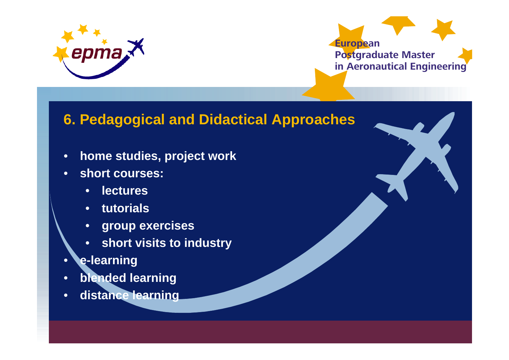![](_page_16_Picture_0.jpeg)

![](_page_16_Picture_1.jpeg)

## **6. Pedagogical and Didactical Approaches**

- •**home studies, project work**
- • **short courses:**
	- •**lectures**
	- $\bullet$ **tutorials**
	- •**group exercises**
	- **short visits to industry**
- •**e-learning**
- •**blended learning**
- •**distance learning**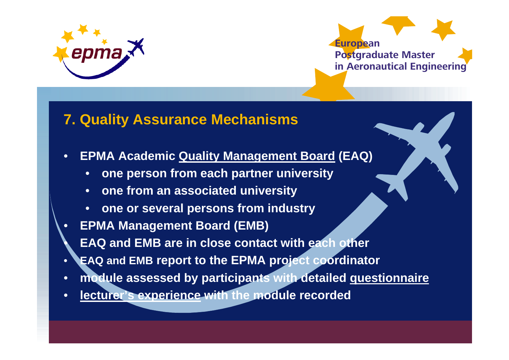![](_page_17_Picture_0.jpeg)

 $\bullet$ 

![](_page_17_Picture_1.jpeg)

## **7. Quality Assurance Mechanisms**

- • **EPMA Academic Quality Management Board (EAQ)**
	- •**one person from each partner university**
	- $\bullet$ **one from an associated university**
	- •**one or several persons from industry**
- • **EPMA Management Board (EMB)**
	- **EAQ and EMB are in close contact with each other**
- •**EAQ and EMB report to the EPMA project coordinator**
- •**module assessed by participants with detailed questionnaire**
- $\bullet$ **lecturer's experience with the module recorded**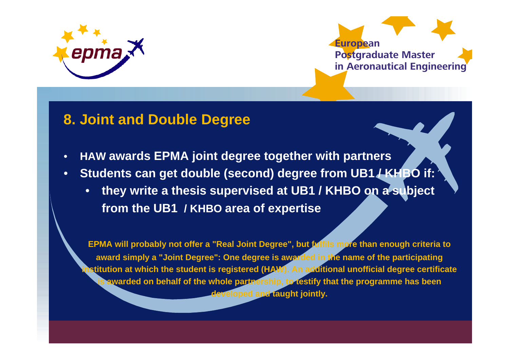![](_page_18_Picture_0.jpeg)

![](_page_18_Picture_1.jpeg)

### **8. Joint and Double Degree**

- •**HAW awards EPMA joint degree together with partners**
- • **Students can get double (second) degree from UB1 / KHBO if:**
	- $\bullet$  **they write a thesis supervised at UB1 / KHBO on a subject from the UB1 / KHBO area of expertise**

**EPMA will probably not offer a "Real Joint Degree", but fulfils more than enough criteria to award simply a "Joint Degree": One degree is awarded in the name of the participating institution at which the student is registered (HAW). An additional unofficial degree certificate is awarded on behalf of the whole partnership, to testify that the programme has been developed and taught jointly.**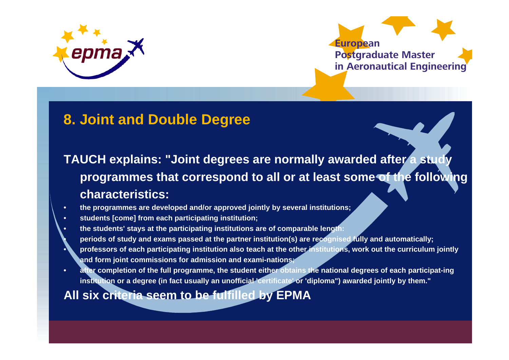![](_page_19_Picture_0.jpeg)

**•**

**•**

![](_page_19_Picture_1.jpeg)

## **8. Joint and Double Degree**

**TAUCH explains: "Joint degrees are normally awarded after a study programmes that correspond to all or at least some of the following characteristics:**

- **• the programmes are developed and/or approved jointly by several institutions;**
- **• students [come] from each participating institution;**
- **• the students' stays at the participating institutions are of comparable length:**
	- **periods of study and exams passed at the partner institution(s) are recognised fully and automatically;**
- **professors of each participating institution also teach at the other institutions, work out the curriculum jointly and form joint commissions for admission and exami-nations;**
- **• after completion of the full programme, the student either obtains the national degrees of each participat-ing institution or a degree (in fact usually an unofficial 'certificate' or 'diploma") awarded jointly by them."**

### **All six criteria seem to be fulfilled by EPMA**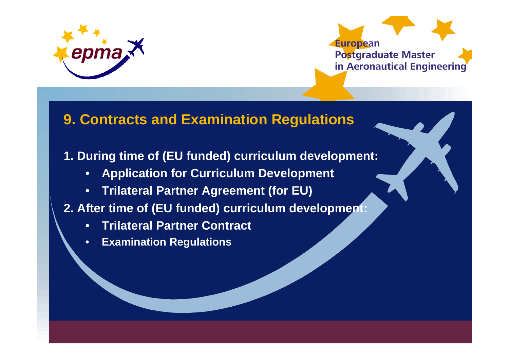![](_page_20_Picture_0.jpeg)

![](_page_20_Picture_1.jpeg)

## **9. Contracts and Examination Regulations**

### **1. During time of (EU funded) curriculum development:**

- •**Application for Curriculum Development**
- •**Trilateral Partner Agreement (for EU)**

### **2. After time of (EU funded) curriculum development:**

- •**Trilateral Partner Contract**
- •**Examination Regulations**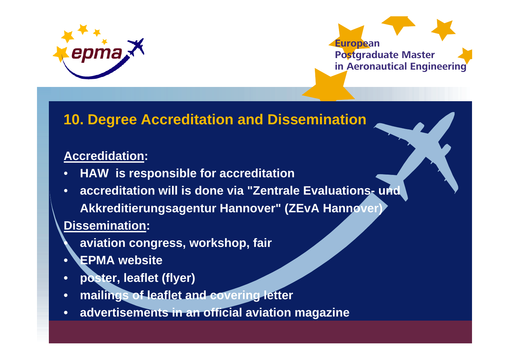![](_page_21_Picture_0.jpeg)

![](_page_21_Picture_1.jpeg)

## **10. Degree Accreditation and Dissemination**

### **Accredidation:**

- •**HAW is responsible for accreditation**
- • **accreditation will is done via "Zentrale Evaluations- und Akkreditierungsagentur Hannover" (ZEvA Hannover)**

### **Dissemination:**

**•**

- **aviation congress, workshop, fair**
- **• EPMA website**
- **• poster, leaflet (flyer)**
- **• mailings of leaflet and covering letter**
- **• advertisements in an official aviation magazine**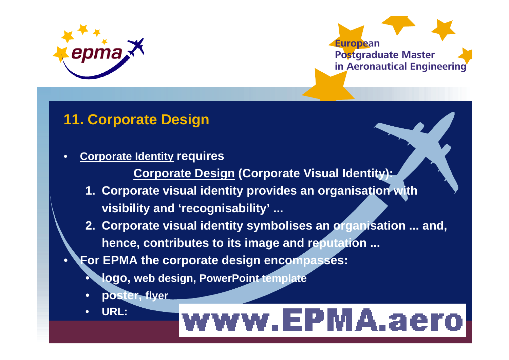![](_page_22_Picture_0.jpeg)

![](_page_22_Picture_1.jpeg)

## **11. Corporate Design**

- • **Corporate Identity requires**
	- **Corporate Design (Corporate Visual Identity):**
	- **1. Corporate visual identity provides an organisation with visibility and 'recognisability' ...**
	- **2. Corporate visual identity symbolises an organisation ... and, hence, contributes to its image and reputation ...**
- • **For EPMA the corporate design encompasses:**
	- **logo, web design, PowerPoint template**
	- $\bullet$ **poster, flyer**
	- •**URL:**

•

# www.EPMA.aero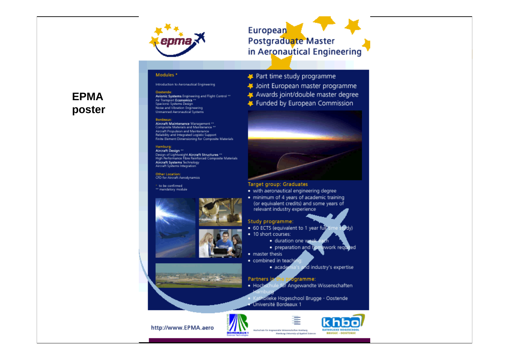![](_page_23_Picture_0.jpeg)

#### European **European Postgraduate Master**

**in Aeronautical Engineering**

#### Modules<sup>\*</sup>

Introduction to Aeronautical Engineering

#### **EPMAposter**

Oostende: Qostende:<br>Avionic Systems Engineering and Flight Control \*\*<br>Air Transport Economics \*\*<br>Spacionic Systems Design Noise and Vibration Engineering **Unmanned Aeronautical Systems** 

#### Bordeaux

Aircraft Maintenance Management \*\* Composite Materials and Maintenance \*\* Aircraft Propulsion and Maintenance Reliability and Integrated Logistic Support Finite Element Dimensioning for Composite Materials

#### Hamburg:

Aircraft Design \*\* Design of Lightweight Aircraft Structures \*\* High Performance Fibre Reinforced Composite Materials Aircraft Systems Technology Aircraft Systems Integration

Other Location:<br>CFD for Aircraft Arrodynamics

to be confirmed \*\* mandatory module

![](_page_23_Picture_12.jpeg)

![](_page_23_Picture_13.jpeg)

![](_page_23_Picture_14.jpeg)

- Part time study programme
- # Joint European master programme
- Awards joint/double master degree
- Funded by European Commission

![](_page_23_Picture_19.jpeg)

#### Target group: Graduates

- . with aeronautical engineering degree
- · minimum of 4 years of academic training (or equivalent credits) and some years of relevant industry experience

#### Study programme:

- 60 ECTS (equivalent to 1 year fully Ddy)
- · 10 short courses:
	- · duration one week
	- · preparation and homework reguled
- master thesis
- combined in teachi
	- and industry's expertise · academi

#### Partners in dgramme:

Rochechale for Angewandte Wissenschaften Koniburg

- · Hochschule für Angewandte Wissenschaften
	- tholieke Hogeschool Brugge Oostende
- Université Bordeaux 1

Namburg: University of Applied Sciences

![](_page_23_Picture_35.jpeg)

![](_page_23_Picture_36.jpeg)

![](_page_23_Picture_37.jpeg)